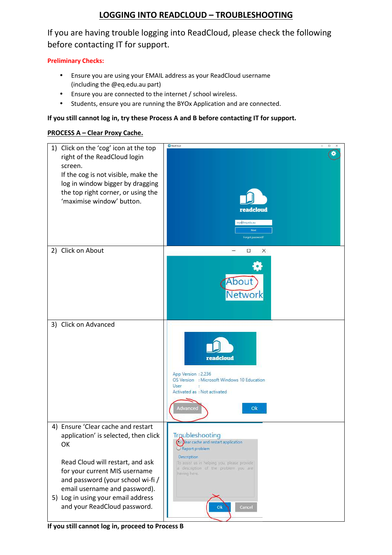# **LOGGING INTO READCLOUD – TROUBLESHOOTING**

If you are having trouble logging into ReadCloud, please check the following before contacting IT for support.

## **Preliminary Checks:**

- Ensure you are using your EMAIL address as your ReadCloud username (including the @eq.edu.au part)
- Ensure you are connected to the internet / school wireless.
- Students, ensure you are running the BYOx Application and are connected.

### **If you still cannot log in, try these Process A and B before contacting IT for support.**

### **PROCESS A – Clear Proxy Cache.**

| 1) Click on the 'cog' icon at the top                              | ReadCloud<br>$\Box$<br>$\times$                                                     |
|--------------------------------------------------------------------|-------------------------------------------------------------------------------------|
| right of the ReadCloud login                                       |                                                                                     |
| screen.                                                            |                                                                                     |
| If the cog is not visible, make the                                |                                                                                     |
|                                                                    |                                                                                     |
| log in window bigger by dragging                                   |                                                                                     |
| the top right corner, or using the                                 |                                                                                     |
| 'maximise window' button.                                          |                                                                                     |
|                                                                    | readcloud                                                                           |
|                                                                    | nrye@eq.edu.au                                                                      |
|                                                                    | Next                                                                                |
|                                                                    | Forgot password?                                                                    |
| 2) Click on About                                                  | О<br>×                                                                              |
|                                                                    |                                                                                     |
|                                                                    |                                                                                     |
|                                                                    | About                                                                               |
|                                                                    |                                                                                     |
|                                                                    | <b>Network</b>                                                                      |
|                                                                    |                                                                                     |
|                                                                    |                                                                                     |
| 3) Click on Advanced                                               |                                                                                     |
|                                                                    |                                                                                     |
|                                                                    |                                                                                     |
|                                                                    |                                                                                     |
|                                                                    | readcloud                                                                           |
|                                                                    |                                                                                     |
|                                                                    | App Version : 2.236<br>OS Version : Microsoft Windows 10 Education                  |
|                                                                    | User<br>÷                                                                           |
|                                                                    | Activated as : Not activated                                                        |
|                                                                    |                                                                                     |
|                                                                    | Advanced<br>Ok                                                                      |
|                                                                    |                                                                                     |
| 4) Ensure 'Clear cache and restart                                 | Troubleshooting                                                                     |
| application' is selected, then click                               | O dear cache and restart application                                                |
| OK                                                                 | Report problem                                                                      |
|                                                                    | Description                                                                         |
| Read Cloud will restart, and ask                                   | To assist us in helping you, please provide<br>a description of the problem you are |
| for your current MIS username                                      | having here:                                                                        |
| and password (your school wi-fi /                                  |                                                                                     |
| email username and password).                                      |                                                                                     |
| 5) Log in using your email address<br>and your ReadCloud password. |                                                                                     |
|                                                                    | Cancel<br>Ok                                                                        |
|                                                                    |                                                                                     |

**If you still cannot log in, proceed to Process B**